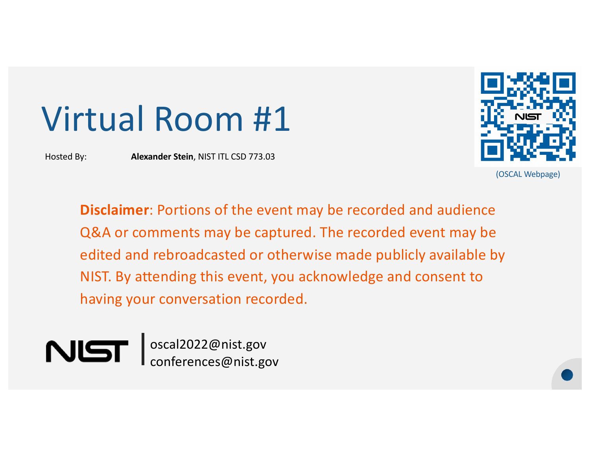# Virtual Room #1

Hosted By: **Alexander Stein**, NIST ITL CSD 773.03



(OSCAL Webpage)

**Disclaimer**: Portions of the event may be recorded and audience Q&A or comments may be captured. The recorded event may be edited and rebroadcasted or otherwise made publicly available by NIST. By attending this event, you acknowledge and consent to having your conversation recorded.

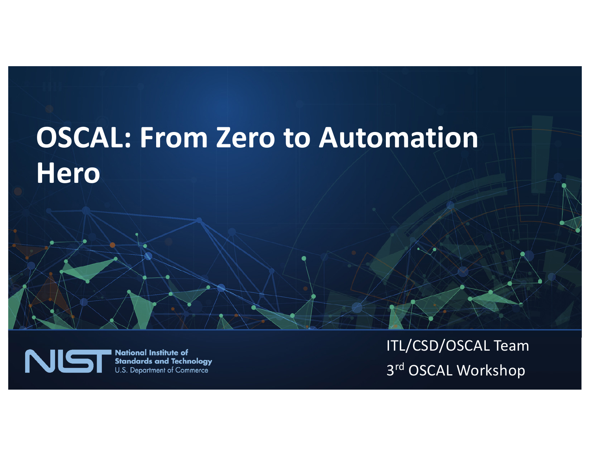#### **OSCAL: From Zero to Automation Hero**



**National Institute of Standards and Technology** U.S. Department of Commerce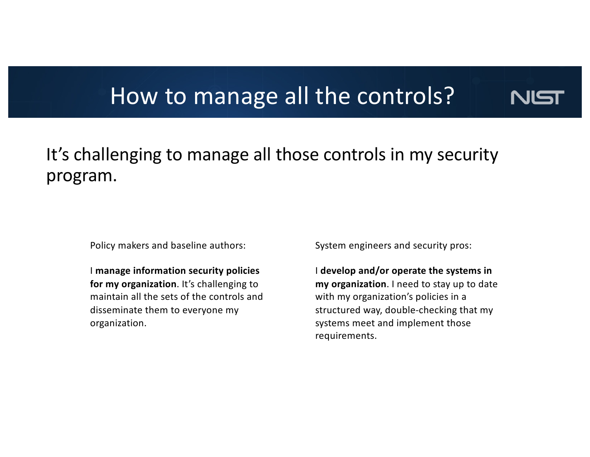#### How to manage all the controls?



#### It's challenging to manage all those controls in my security program.

Policy makers and baseline authors:

I **manage information security policies for my organization**. It's challenging to maintain all the sets of the controls and disseminate them to everyone my organization.

System engineers and security pros:

I **develop and/or operate the systems in my organization**. I need to stay up to date with my organization's policies in a structured way, double-checking that my systems meet and implement those requirements.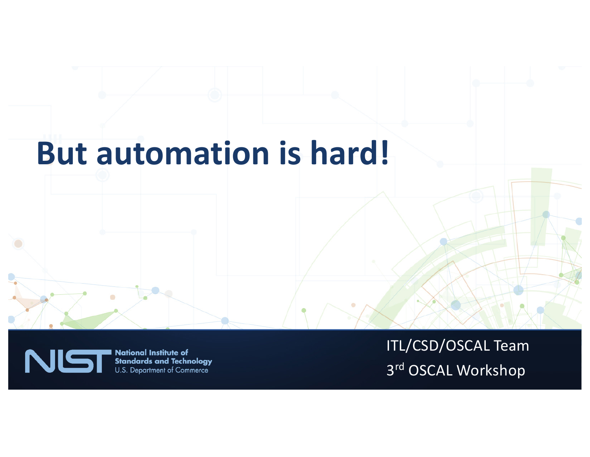## **But automation is hard!**



**National Institute of Standards and Technology** U.S. Department of Commerce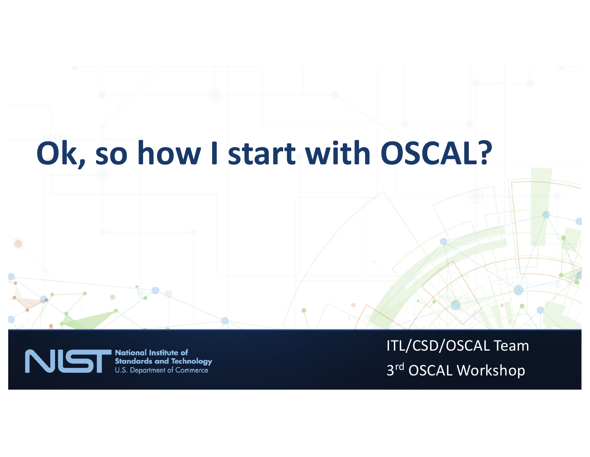## **Ok, so how I start with OSCAL?**



**National Institute of Standards and Technology** U.S. Department of Commerce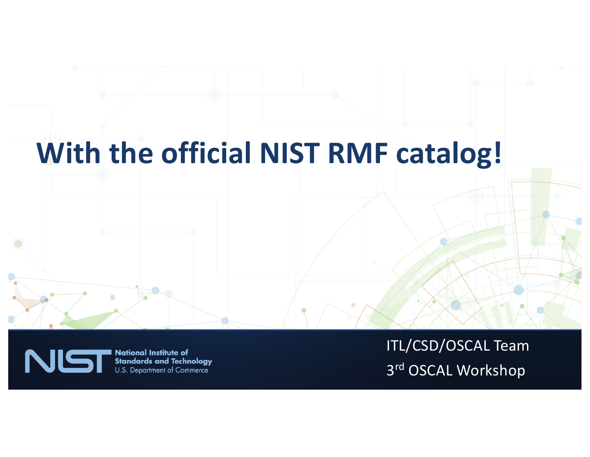#### **With the official NIST RMF catalog!**



**National Institute of Standards and Technology** U.S. Department of Commerce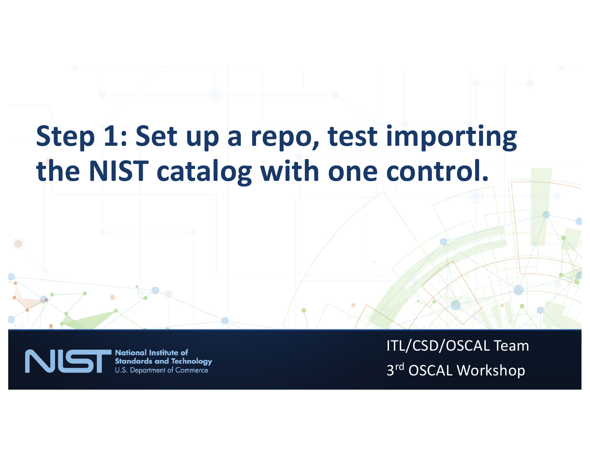#### **Step 1: Set up a repo, test importing the NIST catalog with one control.**



**National Institute of Standards and Technology** U.S. Department of Commerce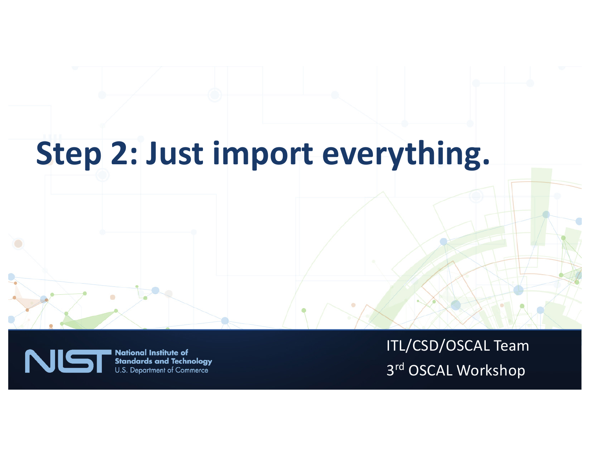## **Step 2: Just import everything.**



**National Institute of Standards and Technology** U.S. Department of Commerce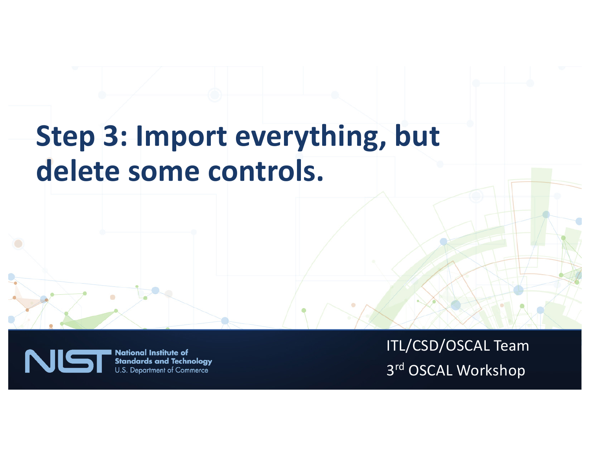#### **Step 3: Import everything, but delete some controls.**



**National Institute of Standards and Technology** U.S. Department of Commerce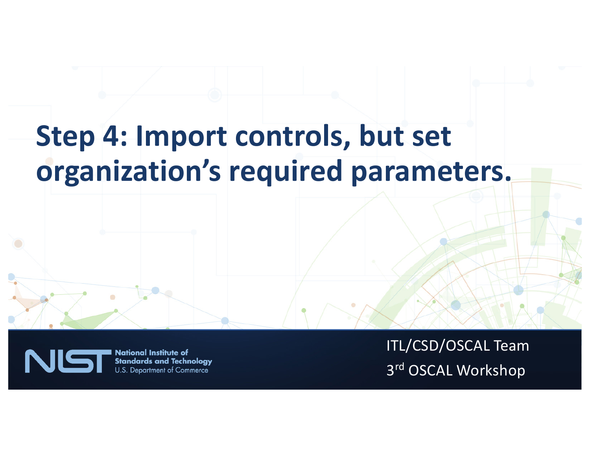#### **Step 4: Import controls, but set organization's required parameters.**



**National Institute of Standards and Technology** U.S. Department of Commerce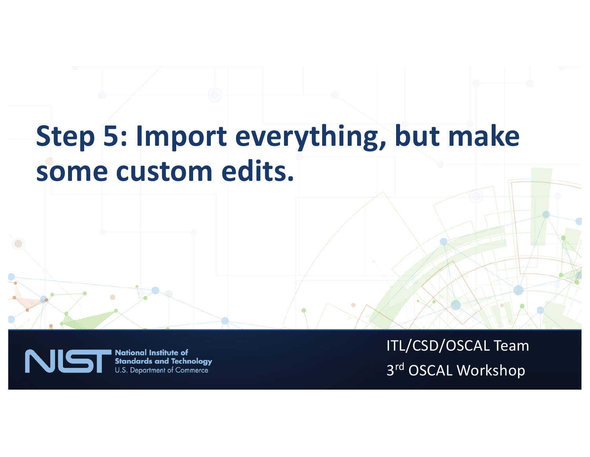## **Step 5: Import everything, but make some custom edits.**



**National Institute of Standards and Technology** U.S. Department of Commerce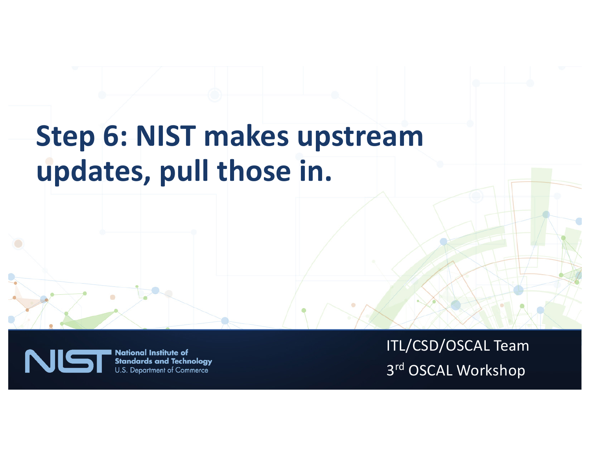## **Step 6: NIST makes upstream updates, pull those in.**



**National Institute of Standards and Technology** U.S. Department of Commerce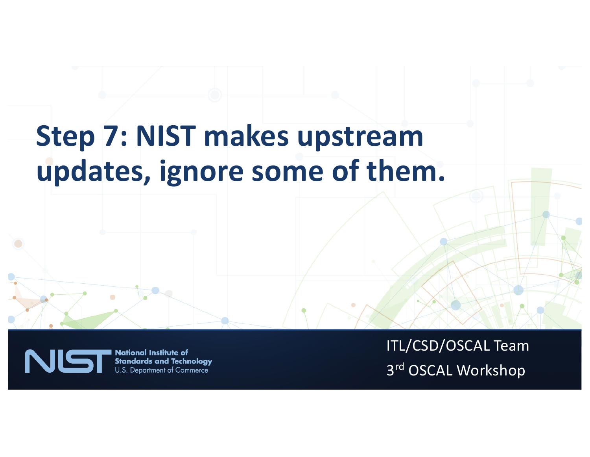#### **Step 7: NIST makes upstream updates, ignore some of them.**



**National Institute of Standards and Technology** U.S. Department of Commerce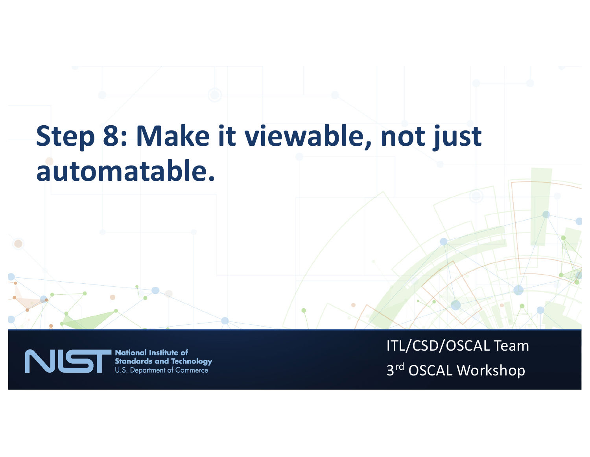### **Step 8: Make it viewable, not just automatable.**



**National Institute of Standards and Technology** U.S. Department of Commerce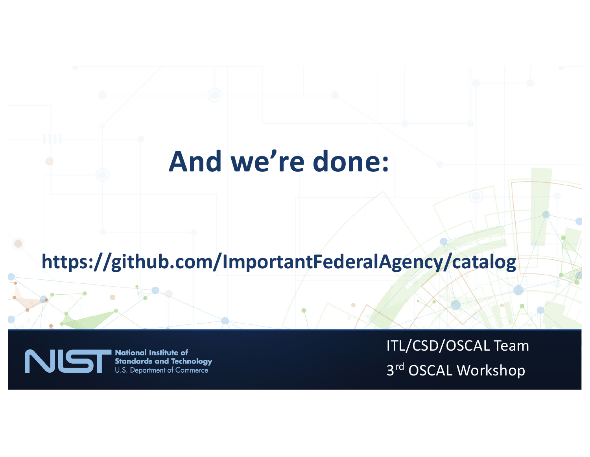#### **And we're done:**

#### **https://github.com/ImportantFederalAgency/catalog**



**National Institute of Standards and Technology** U.S. Department of Commerce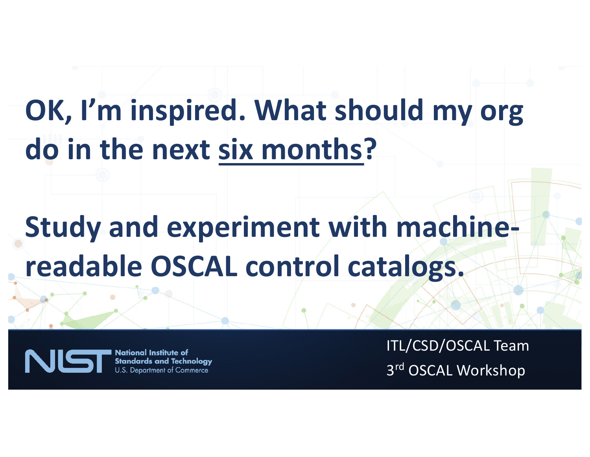# **OK, I'm inspired. What should my org do in the next six months?**

## **Study and experiment with machinereadable OSCAL control catalogs.**



**National Institute of Standards and Technology** U.S. Department of Commerce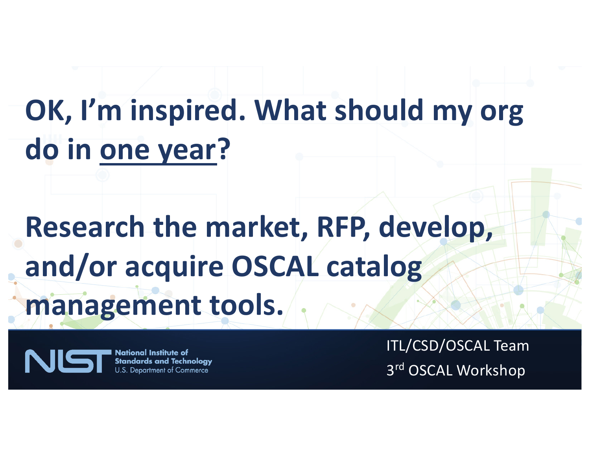# **OK, I'm inspired. What should my org do in one year?**

# **Research the market, RFP, develop, and/or acquire OSCAL catalog management tools.**

**National Institute of** NIS **Standards and Technology** U.S. Department of Commerce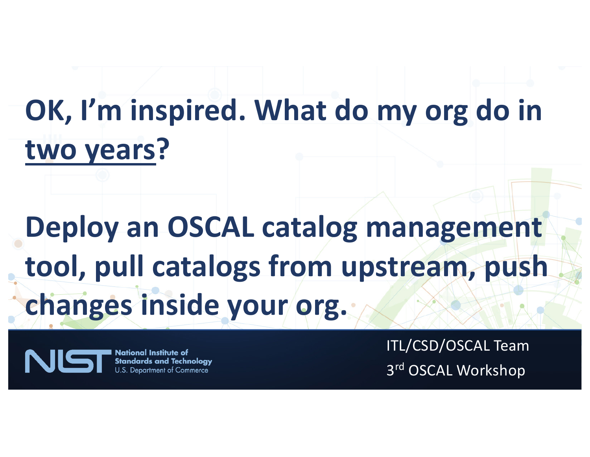# **OK, I'm inspired. What do my org do in two years?**

# **Deploy an OSCAL catalog management tool, pull catalogs from upstream, push changes inside your org.**

**National Institute of** NIE **Standards and Technology U.S. Department of Commerce**